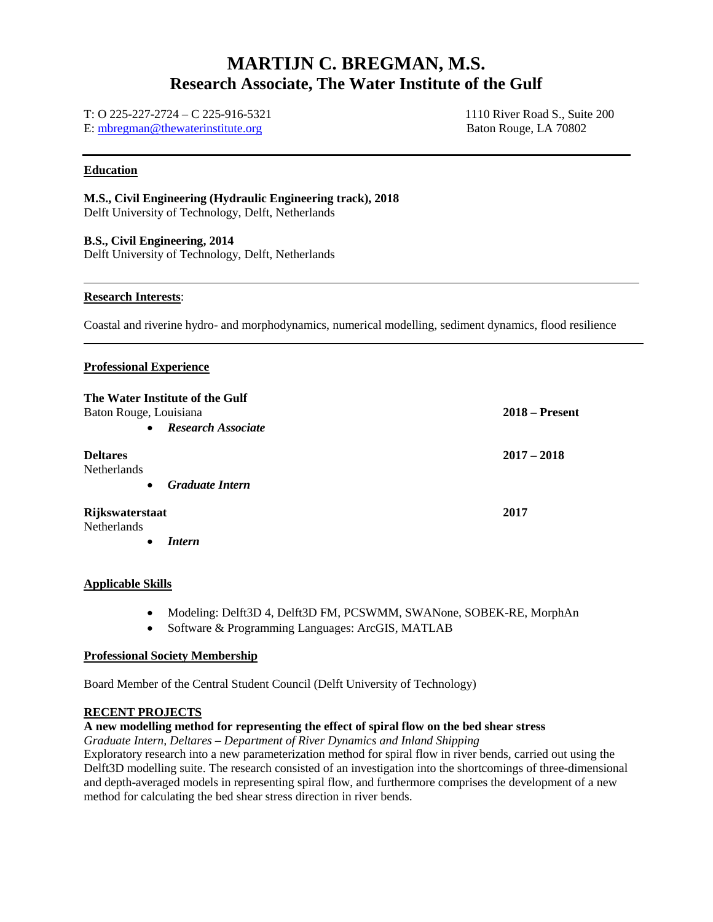## **MARTIJN C. BREGMAN, M.S. Research Associate, The Water Institute of the Gulf**

#### T: O 225-227-2724 – C 225-916-5321 E: [mbregman@thewaterinstitute.org](mailto:mbregman@thewaterinstitute.org)

1110 River Road S., Suite 200 Baton Rouge, LA 70802

### **Education**

#### **M.S., Civil Engineering (Hydraulic Engineering track), 2018** Delft University of Technology, Delft, Netherlands

**B.S., Civil Engineering, 2014** Delft University of Technology, Delft, Netherlands

# **Research Interests**:

Coastal and riverine hydro- and morphodynamics, numerical modelling, sediment dynamics, flood resilience

#### **Professional Experience**

| The Water Institute of the Gulf<br>Baton Rouge, Louisiana |                           | $2018 -$ Present |
|-----------------------------------------------------------|---------------------------|------------------|
| $\bullet$                                                 | <b>Research Associate</b> |                  |
| <b>Deltares</b><br><b>Netherlands</b><br>$\bullet$        |                           | $2017 - 2018$    |
|                                                           | <b>Graduate Intern</b>    |                  |
| Rijkswaterstaat<br>Netherlands                            |                           | 2017             |
|                                                           | <i>Intern</i>             |                  |

#### **Applicable Skills**

- Modeling: Delft3D 4, Delft3D FM, PCSWMM, SWANone, SOBEK-RE, MorphAn
- Software & Programming Languages: ArcGIS, MATLAB

#### **Professional Society Membership**

Board Member of the Central Student Council (Delft University of Technology)

#### **RECENT PROJECTS**

#### **A new modelling method for representing the effect of spiral flow on the bed shear stress**

*Graduate Intern, Deltares – Department of River Dynamics and Inland Shipping*

Exploratory research into a new parameterization method for spiral flow in river bends, carried out using the Delft3D modelling suite. The research consisted of an investigation into the shortcomings of three-dimensional and depth-averaged models in representing spiral flow, and furthermore comprises the development of a new method for calculating the bed shear stress direction in river bends.